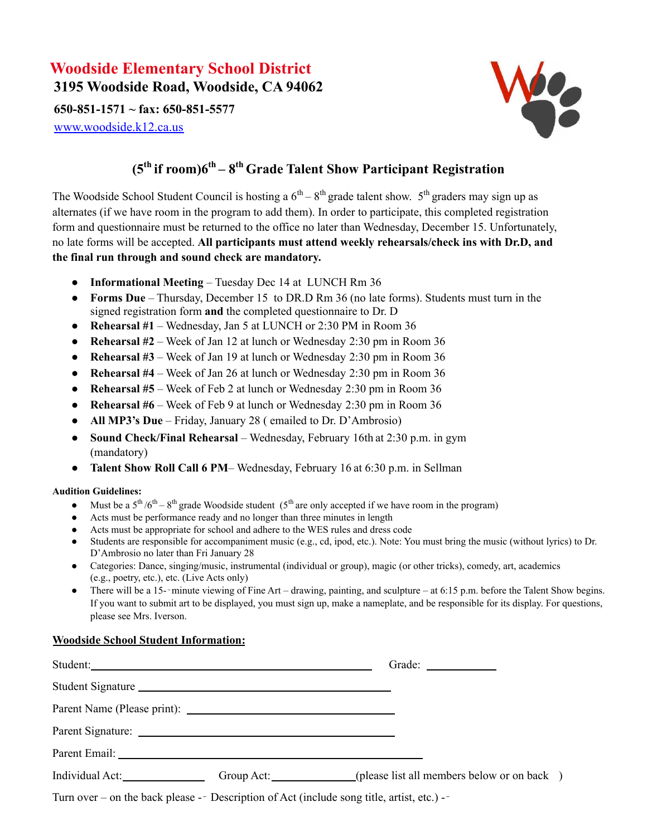## **Woodside Elementary School District 3195 Woodside Road, Woodside, CA 94062**

**650-851-1571 ~ fax: 650-851-5577**

[www.woodside.k12.ca.us](http://www.woodside.k12.ca.us/)



## **(5 th if room)6 th – 8 th Grade Talent Show Participant Registration**

The Woodside School Student Council is hosting a  $6<sup>th</sup> - 8<sup>th</sup>$  grade talent show.  $5<sup>th</sup>$  graders may sign up as alternates (if we have room in the program to add them). In order to participate, this completed registration form and questionnaire must be returned to the office no later than Wednesday, December 15. Unfortunately, no late forms will be accepted. **All participants must attend weekly rehearsals/check ins with Dr.D, and the final run through and sound check are mandatory.**

- **Informational Meeting** Tuesday Dec 14 at LUNCH Rm 36
- **Forms Due** Thursday, December 15 to DR.D Rm 36 (no late forms). Students must turn in the signed registration form **and** the completed questionnaire to Dr. D
- **Rehearsal #1** Wednesday, Jan 5 at LUNCH or 2:30 PM in Room 36
- **Rehearsal #2** Week of Jan 12 at lunch or Wednesday 2:30 pm in Room 36
- **Rehearsal #3** Week of Jan 19 at lunch or Wednesday 2:30 pm in Room 36
- **Rehearsal #4** Week of Jan 26 at lunch or Wednesday 2:30 pm in Room 36
- **Rehearsal #5** Week of Feb 2 at lunch or Wednesday 2:30 pm in Room 36
- **Rehearsal #6** Week of Feb 9 at lunch or Wednesday 2:30 pm in Room 36
- **All MP3's Due** Friday, January 28 ( emailed to Dr. D'Ambrosio)
- **Sound Check/Final Rehearsal** Wednesday, February 16th at 2:30 p.m. in gym (mandatory)
- **Talent Show Roll Call 6 PM** Wednesday, February 16 at 6:30 p.m. in Sellman

## **Audition Guidelines:**

- Must be a  $5^{\text{th}}/6^{\text{th}} 8^{\text{th}}$  grade Woodside student  $(5^{\text{th}}$  are only accepted if we have room in the program)
- Acts must be performance ready and no longer than three minutes in length
- Acts must be appropriate for school and adhere to the WES rules and dress code
- Students are responsible for accompaniment music (e.g., cd, ipod, etc.). Note: You must bring the music (without lyrics) to Dr. D'Ambrosio no later than Fri January 28
- Categories: Dance, singing/music, instrumental (individual or group), magic (or other tricks), comedy, art, academics (e.g., poetry, etc.), etc. (Live Acts only)
- There will be a 15-–minute viewing of Fine Art drawing, painting, and sculpture at 6:15 p.m. before the Talent Show begins. If you want to submit art to be displayed, you must sign up, make a nameplate, and be responsible for its display. For questions, please see Mrs. Iverson.

## **Woodside School Student Information:**

| Student: 2008 and 2008 and 2008 and 2008 and 2008 and 2008 and 2008 and 2008 and 2008 and 2008 and 2008 and 20 | Grade: $\qquad \qquad$                                                           |
|----------------------------------------------------------------------------------------------------------------|----------------------------------------------------------------------------------|
| Student Signature                                                                                              |                                                                                  |
|                                                                                                                |                                                                                  |
|                                                                                                                |                                                                                  |
|                                                                                                                |                                                                                  |
|                                                                                                                | Individual Act: Group Act: Group Act: (please list all members below or on back) |
| Turn over – on the back please -- Description of Act (include song title, artist, etc.) --                     |                                                                                  |